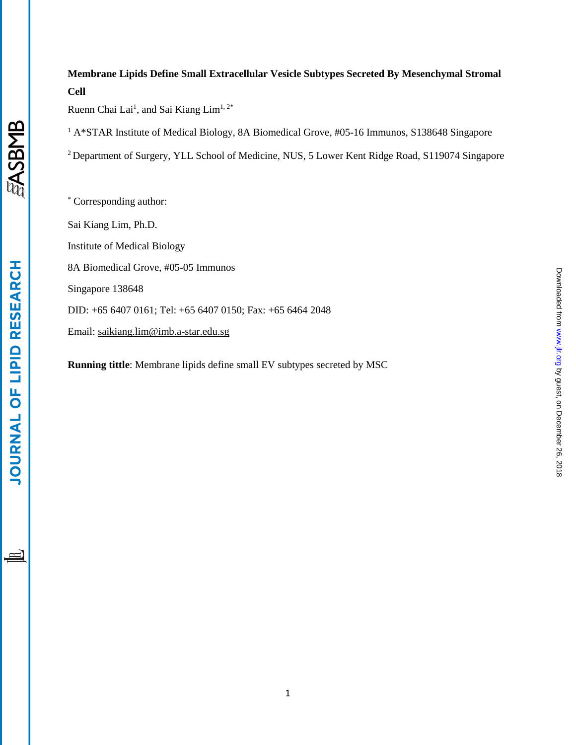## **Membrane Lipids Define Small Extracellular Vesicle Subtypes Secreted By Mesenchymal Stromal Cell**

Ruenn Chai Lai<sup>1</sup>, and Sai Kiang Lim<sup>1, 2\*</sup>

<sup>1</sup> A\*STAR Institute of Medical Biology, 8A Biomedical Grove, #05-16 Immunos, S138648 Singapore

<sup>2</sup> Department of Surgery, YLL School of Medicine, NUS, 5 Lower Kent Ridge Road, S119074 Singapore

\* Corresponding author: Sai Kiang Lim, Ph.D. Institute of Medical Biology 8A Biomedical Grove, #05-05 Immunos Singapore 138648 DID: +65 6407 0161; Tel: +65 6407 0150; Fax: +65 6464 2048 Email: [saikiang.lim@imb.a-star.edu.sg](mailto:saikiang.lim@imb.a-star.edu.sg)

**Running tittle**: Membrane lipids define small EV subtypes secreted by MSC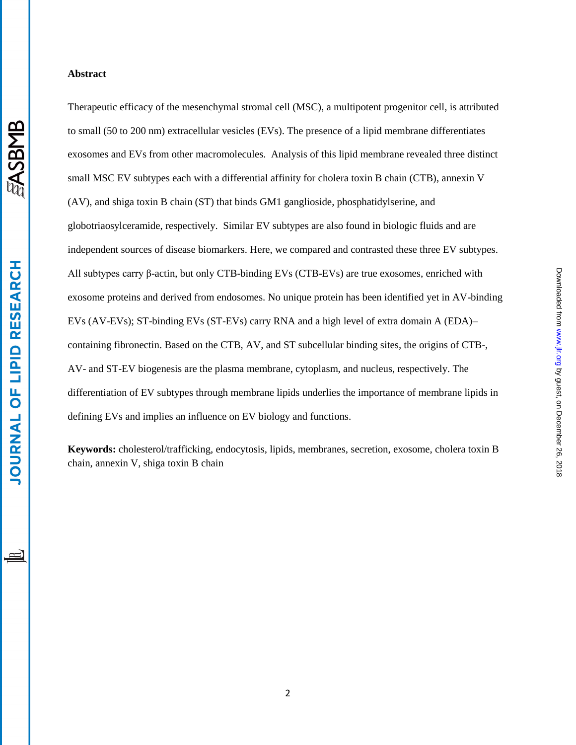### **Abstract**

Therapeutic efficacy of the mesenchymal stromal cell (MSC), a multipotent progenitor cell, is attributed to small (50 to 200 nm) extracellular vesicles (EVs). The presence of a lipid membrane differentiates exosomes and EVs from other macromolecules. Analysis of this lipid membrane revealed three distinct small MSC EV subtypes each with a differential affinity for cholera toxin B chain (CTB), annexin V (AV), and shiga toxin B chain (ST) that binds GM1 ganglioside, phosphatidylserine, and globotriaosylceramide, respectively. Similar EV subtypes are also found in biologic fluids and are independent sources of disease biomarkers. Here, we compared and contrasted these three EV subtypes. All subtypes carry β-actin, but only CTB-binding EVs (CTB-EVs) are true exosomes, enriched with exosome proteins and derived from endosomes. No unique protein has been identified yet in AV-binding EVs (AV-EVs); ST-binding EVs (ST-EVs) carry RNA and a high level of extra domain A (EDA)– containing fibronectin. Based on the CTB, AV, and ST subcellular binding sites, the origins of CTB-, AV- and ST-EV biogenesis are the plasma membrane, cytoplasm, and nucleus, respectively. The differentiation of EV subtypes through membrane lipids underlies the importance of membrane lipids in defining EVs and implies an influence on EV biology and functions.

**Keywords:** cholesterol/trafficking, endocytosis, lipids, membranes, secretion, exosome, cholera toxin B chain, annexin V, shiga toxin B chain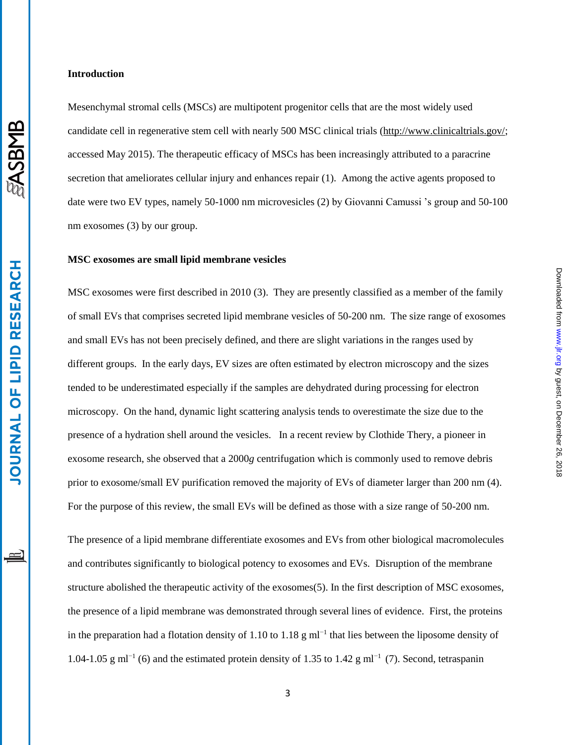## **EASBMB**

# **JOURNAL OF LIPID RESEARCH**

### **Introduction**

Mesenchymal stromal cells (MSCs) are multipotent progenitor cells that are the most widely used candidate cell in regenerative stem cell with nearly 500 MSC clinical trials [\(http://www.clinicaltrials.gov/;](http://www.clinicaltrials.gov/) accessed May 2015). The therapeutic efficacy of MSCs has been increasingly attributed to a paracrine secretion that ameliorates cellular injury and enhances repair [\(1\)](#page-11-0). Among the active agents proposed to date were two EV types, namely 50-1000 nm microvesicles [\(2\)](#page-11-1) by Giovanni Camussi 's group and 50-100 nm exosomes [\(3\)](#page-11-2) by our group.

### **MSC exosomes are small lipid membrane vesicles**

MSC exosomes were first described in 2010 [\(3\)](#page-11-2). They are presently classified as a member of the family of small EVs that comprises secreted lipid membrane vesicles of 50-200 nm. The size range of exosomes and small EVs has not been precisely defined, and there are slight variations in the ranges used by different groups. In the early days, EV sizes are often estimated by electron microscopy and the sizes tended to be underestimated especially if the samples are dehydrated during processing for electron microscopy. On the hand, dynamic light scattering analysis tends to overestimate the size due to the presence of a hydration shell around the vesicles. In a recent review by Clothide Thery, a pioneer in exosome research, she observed that a 2000*g* centrifugation which is commonly used to remove debris prior to exosome/small EV purification removed the majority of EVs of diameter larger than 200 nm [\(4\)](#page-11-3). For the purpose of this review, the small EVs will be defined as those with a size range of 50-200 nm.

by guest, on December 26, 2018 [www.jlr.org](http://www.jlr.org/) Downloaded from

Downloaded from www.jlr.org by guest, on December 26, 2018

The presence of a lipid membrane differentiate exosomes and EVs from other biological macromolecules and contributes significantly to biological potency to exosomes and EVs. Disruption of the membrane structure abolished the therapeutic activity of the exosomes[\(5\)](#page-11-4). In the first description of MSC exosomes, the presence of a lipid membrane was demonstrated through several lines of evidence. First, the proteins in the preparation had a flotation density of 1.10 to 1.18 g ml<sup>-1</sup> that lies between the liposome density of 1.04-1.05 g ml<sup>-1</sup> [\(6\)](#page-11-5) and the estimated protein density of 1.35 to 1.42 g ml<sup>-1</sup> [\(7\)](#page-11-6). Second, tetraspanin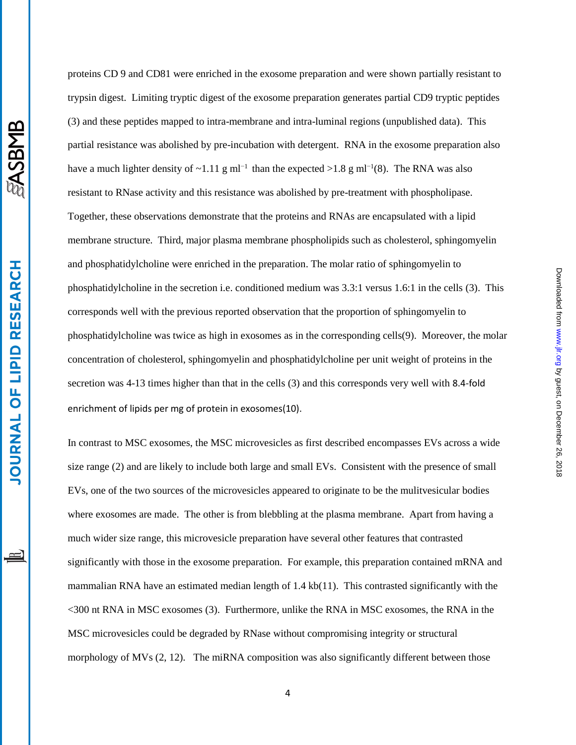proteins CD 9 and CD81 were enriched in the exosome preparation and were shown partially resistant to trypsin digest. Limiting tryptic digest of the exosome preparation generates partial CD9 tryptic peptides [\(3\)](#page-11-2) and these peptides mapped to intra-membrane and intra-luminal regions (unpublished data). This partial resistance was abolished by pre-incubation with detergent. RNA in the exosome preparation also have a much lighter density of ~1.11 g ml<sup>-1</sup> than the expected >1.8 g ml<sup>-1</sup>[\(8\)](#page-11-7). The RNA was also resistant to RNase activity and this resistance was abolished by pre-treatment with phospholipase. Together, these observations demonstrate that the proteins and RNAs are encapsulated with a lipid membrane structure. Third, major plasma membrane phospholipids such as cholesterol, sphingomyelin and phosphatidylcholine were enriched in the preparation. The molar ratio of sphingomyelin to phosphatidylcholine in the secretion i.e. conditioned medium was 3.3:1 versus 1.6:1 in the cells [\(3\)](#page-11-2). This corresponds well with the previous reported observation that the proportion of sphingomyelin to phosphatidylcholine was twice as high in exosomes as in the corresponding cells[\(9\)](#page-12-0). Moreover, the molar concentration of cholesterol, sphingomyelin and phosphatidylcholine per unit weight of proteins in the secretion was 4-13 times higher than that in the cells [\(3\)](#page-11-2) and this corresponds very well with 8.4-fold enrichment of lipids per mg of protein in exosomes[\(10\)](#page-12-1).

by guest, on December 26, 2018 [www.jlr.org](http://www.jlr.org/) Downloaded from

Downloaded from www.jlr.org by guest, on December 26, 2018

In contrast to MSC exosomes, the MSC microvesicles as first described encompasses EVs across a wide size range [\(2\)](#page-11-1) and are likely to include both large and small EVs. Consistent with the presence of small EVs, one of the two sources of the microvesicles appeared to originate to be the mulitvesicular bodies where exosomes are made. The other is from blebbling at the plasma membrane. Apart from having a much wider size range, this microvesicle preparation have several other features that contrasted significantly with those in the exosome preparation. For example, this preparation contained mRNA and mammalian RNA have an estimated median length of 1.4 kb[\(11\)](#page-12-2). This contrasted significantly with the <300 nt RNA in MSC exosomes [\(3\)](#page-11-2). Furthermore, unlike the RNA in MSC exosomes, the RNA in the MSC microvesicles could be degraded by RNase without compromising integrity or structural morphology of MVs [\(2,](#page-11-1) [12\)](#page-12-3). The miRNA composition was also significantly different between those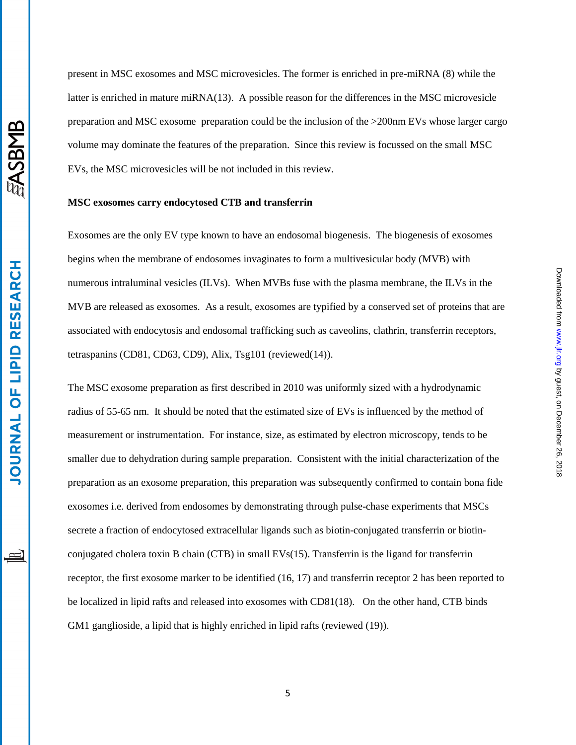present in MSC exosomes and MSC microvesicles. The former is enriched in pre-miRNA [\(8\)](#page-11-7) while the latter is enriched in mature miRNA[\(13\)](#page-12-4). A possible reason for the differences in the MSC microvesicle preparation and MSC exosome preparation could be the inclusion of the >200nm EVs whose larger cargo volume may dominate the features of the preparation. Since this review is focussed on the small MSC EVs, the MSC microvesicles will be not included in this review.

### **MSC exosomes carry endocytosed CTB and transferrin**

Exosomes are the only EV type known to have an endosomal biogenesis. The biogenesis of exosomes begins when the membrane of endosomes invaginates to form a multivesicular body (MVB) with numerous intraluminal vesicles (ILVs). When MVBs fuse with the plasma membrane, the ILVs in the MVB are released as exosomes. As a result, exosomes are typified by a conserved set of proteins that are associated with endocytosis and endosomal trafficking such as caveolins, clathrin, transferrin receptors, tetraspanins (CD81, CD63, CD9), Alix, Tsg101 (reviewed[\(14\)](#page-12-5)).

The MSC exosome preparation as first described in 2010 was uniformly sized with a hydrodynamic radius of 55-65 nm. It should be noted that the estimated size of EVs is influenced by the method of measurement or instrumentation. For instance, size, as estimated by electron microscopy, tends to be smaller due to dehydration during sample preparation. Consistent with the initial characterization of the preparation as an exosome preparation, this preparation was subsequently confirmed to contain bona fide exosomes i.e. derived from endosomes by demonstrating through pulse-chase experiments that MSCs secrete a fraction of endocytosed extracellular ligands such as biotin-conjugated transferrin or biotinconjugated cholera toxin B chain (CTB) in small EVs[\(15\)](#page-12-6). Transferrin is the ligand for transferrin receptor, the first exosome marker to be identified [\(16,](#page-12-7) [17\)](#page-12-8) and transferrin receptor 2 has been reported to be localized in lipid rafts and released into exosomes with CD81[\(18\)](#page-13-0). On the other hand, CTB binds GM1 ganglioside, a lipid that is highly enriched in lipid rafts (reviewed  $(19)$ ).

by guest, on December 26, 2018 [www.jlr.org](http://www.jlr.org/) Downloaded from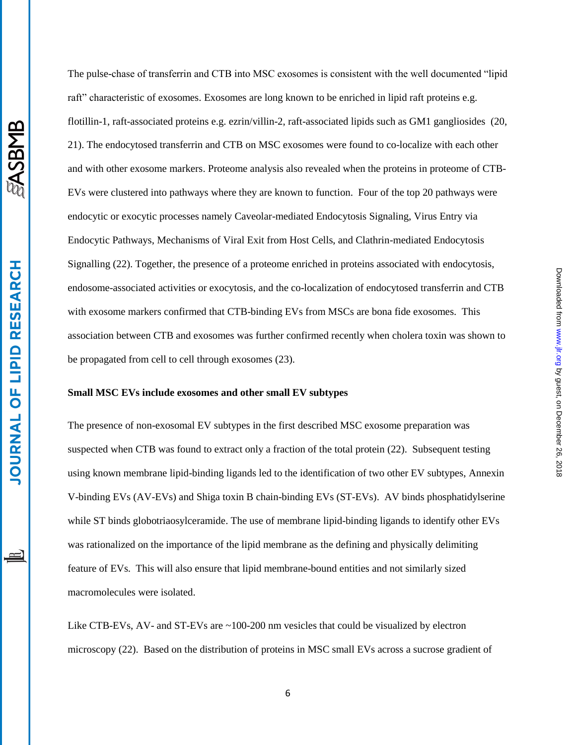The pulse-chase of transferrin and CTB into MSC exosomes is consistent with the well documented "lipid raft" characteristic of exosomes. Exosomes are long known to be enriched in lipid raft proteins e.g. flotillin-1, raft-associated proteins e.g. ezrin/villin-2, raft-associated lipids such as GM1 gangliosides [\(20,](#page-13-2) [21\)](#page-13-3). The endocytosed transferrin and CTB on MSC exosomes were found to co-localize with each other and with other exosome markers. Proteome analysis also revealed when the proteins in proteome of CTB-EVs were clustered into pathways where they are known to function. Four of the top 20 pathways were endocytic or exocytic processes namely Caveolar-mediated Endocytosis Signaling, Virus Entry via Endocytic Pathways, Mechanisms of Viral Exit from Host Cells, and Clathrin-mediated Endocytosis Signalling [\(22\)](#page-13-4). Together, the presence of a proteome enriched in proteins associated with endocytosis, endosome-associated activities or exocytosis, and the co-localization of endocytosed transferrin and CTB with exosome markers confirmed that CTB-binding EVs from MSCs are bona fide exosomes. This association between CTB and exosomes was further confirmed recently when cholera toxin was shown to be propagated from cell to cell through exosomes [\(23\)](#page-13-5).

### **Small MSC EVs include exosomes and other small EV subtypes**

The presence of non-exosomal EV subtypes in the first described MSC exosome preparation was suspected when CTB was found to extract only a fraction of the total protein [\(22\)](#page-13-4). Subsequent testing using known membrane lipid-binding ligands led to the identification of two other EV subtypes, Annexin V-binding EVs (AV-EVs) and Shiga toxin B chain-binding EVs (ST-EVs). AV binds phosphatidylserine while ST binds [globotriaosylceramide.](http://en.wikipedia.org/wiki/Globotriaosylceramide) The use of membrane lipid-binding ligands to identify other EVs was rationalized on the importance of the lipid membrane as the defining and physically delimiting feature of EVs. This will also ensure that lipid membrane-bound entities and not similarly sized macromolecules were isolated.

by guest, on December 26, 2018 [www.jlr.org](http://www.jlr.org/) Downloaded from

Downloaded from www.jlr.org by guest, on December 26, 2018

Like CTB-EVs, AV- and ST-EVs are ~100-200 nm vesicles that could be visualized by electron microscopy [\(22\)](#page-13-4). Based on the distribution of proteins in MSC small EVs across a sucrose gradient of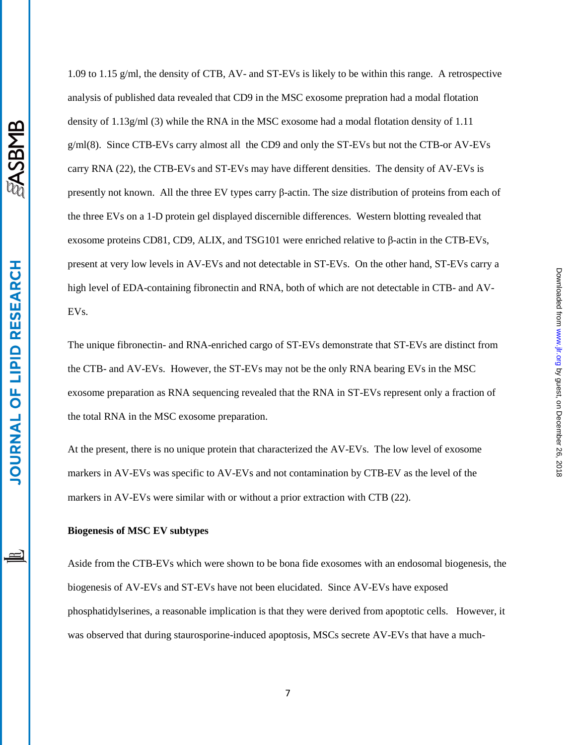1.09 to 1.15 g/ml, the density of CTB, AV- and ST-EVs is likely to be within this range. A retrospective analysis of published data revealed that CD9 in the MSC exosome prepration had a modal flotation density of 1.13g/ml [\(3\)](#page-11-2) while the RNA in the MSC exosome had a modal flotation density of 1.11 g/ml[\(8\)](#page-11-7). Since CTB-EVs carry almost all the CD9 and only the ST-EVs but not the CTB-or AV-EVs carry RNA [\(22\)](#page-13-4), the CTB-EVs and ST-EVs may have different densities. The density of AV-EVs is presently not known. All the three EV types carry β-actin. The size distribution of proteins from each of the three EVs on a 1-D protein gel displayed discernible differences. Western blotting revealed that exosome proteins CD81, CD9, ALIX, and TSG101 were enriched relative to β-actin in the CTB-EVs, present at very low levels in AV-EVs and not detectable in ST-EVs. On the other hand, ST-EVs carry a high level of EDA-containing fibronectin and RNA, both of which are not detectable in CTB- and AV-EVs.

The unique fibronectin- and RNA-enriched cargo of ST-EVs demonstrate that ST-EVs are distinct from the CTB- and AV-EVs. However, the ST-EVs may not be the only RNA bearing EVs in the MSC exosome preparation as RNA sequencing revealed that the RNA in ST-EVs represent only a fraction of the total RNA in the MSC exosome preparation.

by guest, on December 26, 2018 [www.jlr.org](http://www.jlr.org/) Downloaded from

Downloaded from www.jlr.org by guest, on December 26, 2018

At the present, there is no unique protein that characterized the AV-EVs. The low level of exosome markers in AV-EVs was specific to AV-EVs and not contamination by CTB-EV as the level of the markers in AV-EVs were similar with or without a prior extraction with CTB [\(22\)](#page-13-4).

### **Biogenesis of MSC EV subtypes**

Aside from the CTB-EVs which were shown to be bona fide exosomes with an endosomal biogenesis, the biogenesis of AV-EVs and ST-EVs have not been elucidated. Since AV-EVs have exposed phosphatidylserines, a reasonable implication is that they were derived from apoptotic cells. However, it was observed that during staurosporine-induced apoptosis, MSCs secrete AV-EVs that have a much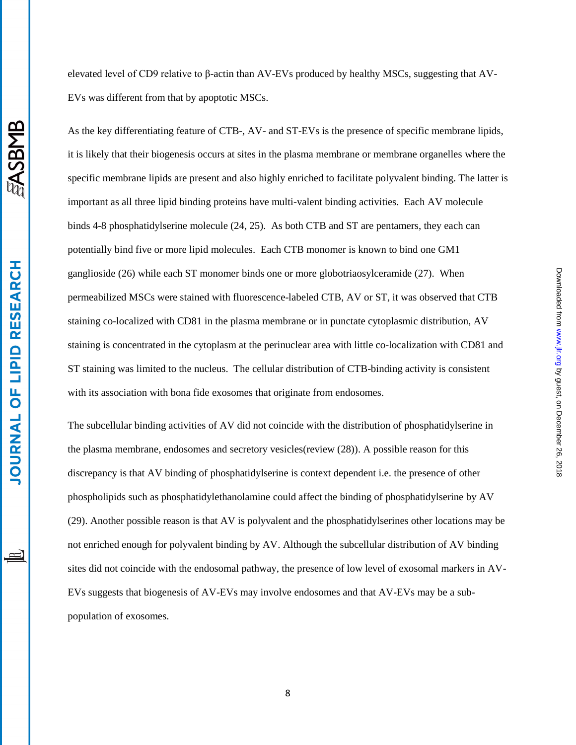elevated level of CD9 relative to β-actin than AV-EVs produced by healthy MSCs, suggesting that AV-EVs was different from that by apoptotic MSCs.

As the key differentiating feature of CTB-, AV- and ST-EVs is the presence of specific membrane lipids, it is likely that their biogenesis occurs at sites in the plasma membrane or membrane organelles where the specific membrane lipids are present and also highly enriched to facilitate polyvalent binding. The latter is important as all three lipid binding proteins have multi-valent binding activities. Each AV molecule binds 4-8 phosphatidylserine molecule [\(24,](#page-13-6) [25\)](#page-13-7). As both CTB and ST are pentamers, they each can potentially bind five or more lipid molecules. Each CTB monomer is known to bind one GM1 ganglioside [\(26\)](#page-13-8) while each ST monomer binds one or more [globotriaosylceramide](http://en.wikipedia.org/wiki/Globotriaosylceramide) [\(27\)](#page-14-0). When permeabilized MSCs were stained with fluorescence-labeled CTB, AV or ST, it was observed that CTB staining co-localized with CD81 in the plasma membrane or in punctate cytoplasmic distribution, AV staining is concentrated in the cytoplasm at the perinuclear area with little co-localization with CD81 and ST staining was limited to the nucleus. The cellular distribution of CTB-binding activity is consistent with its association with bona fide exosomes that originate from endosomes.

by guest, on December 26, 2018 [www.jlr.org](http://www.jlr.org/) Downloaded from

Downloaded from www.jlr.org by guest, on December 26, 2018

The subcellular binding activities of AV did not coincide with the distribution of phosphatidylserine in the plasma membrane, endosomes and secretory vesicles(review [\(28\)](#page-14-1)). A possible reason for this discrepancy is that AV binding of phosphatidylserine is context dependent i.e. the presence of other phospholipids such as phosphatidylethanolamine could affect the binding of phosphatidylserine by AV [\(29\)](#page-14-2). Another possible reason is that AV is polyvalent and the phosphatidylserines other locations may be not enriched enough for polyvalent binding by AV. Although the subcellular distribution of AV binding sites did not coincide with the endosomal pathway, the presence of low level of exosomal markers in AV-EVs suggests that biogenesis of AV-EVs may involve endosomes and that AV-EVs may be a subpopulation of exosomes.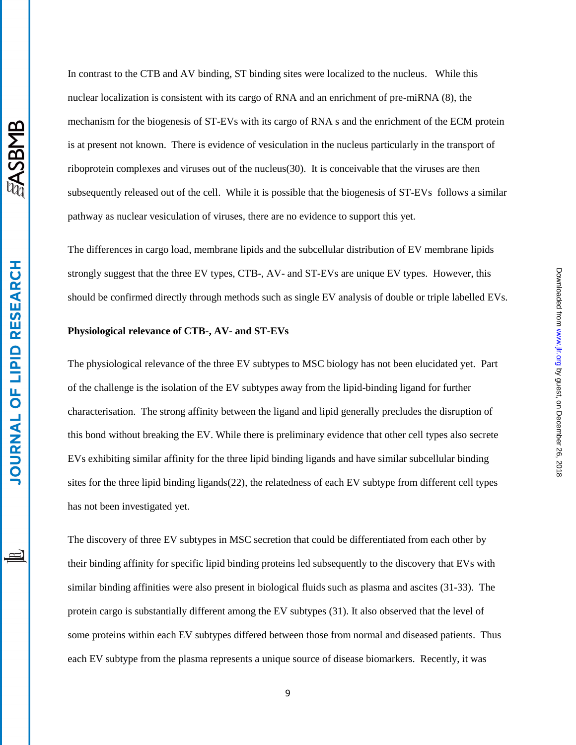In contrast to the CTB and AV binding, ST binding sites were localized to the nucleus. While this nuclear localization is consistent with its cargo of RNA and an enrichment of pre-miRNA [\(8\)](#page-11-7), the mechanism for the biogenesis of ST-EVs with its cargo of RNA s and the enrichment of the ECM protein is at present not known. There is evidence of vesiculation in the nucleus particularly in the transport of riboprotein complexes and viruses out of the nucleus[\(30\)](#page-14-3). It is conceivable that the viruses are then subsequently released out of the cell. While it is possible that the biogenesis of ST-EVs follows a similar pathway as nuclear vesiculation of viruses, there are no evidence to support this yet.

The differences in cargo load, membrane lipids and the subcellular distribution of EV membrane lipids strongly suggest that the three EV types, CTB-, AV- and ST-EVs are unique EV types. However, this should be confirmed directly through methods such as single EV analysis of double or triple labelled EVs.

### **Physiological relevance of CTB-, AV- and ST-EVs**

The physiological relevance of the three EV subtypes to MSC biology has not been elucidated yet. Part of the challenge is the isolation of the EV subtypes away from the lipid-binding ligand for further characterisation. The strong affinity between the ligand and lipid generally precludes the disruption of this bond without breaking the EV. While there is preliminary evidence that other cell types also secrete EVs exhibiting similar affinity for the three lipid binding ligands and have similar subcellular binding sites for the three lipid binding ligands[\(22\)](#page-13-4), the relatedness of each EV subtype from different cell types has not been investigated yet.

The discovery of three EV subtypes in MSC secretion that could be differentiated from each other by their binding affinity for specific lipid binding proteins led subsequently to the discovery that EVs with similar binding affinities were also present in biological fluids such as plasma and ascites [\(31-33\)](#page-14-4). The protein cargo is substantially different among the EV subtypes [\(31\)](#page-14-4). It also observed that the level of some proteins within each EV subtypes differed between those from normal and diseased patients. Thus each EV subtype from the plasma represents a unique source of disease biomarkers. Recently, it was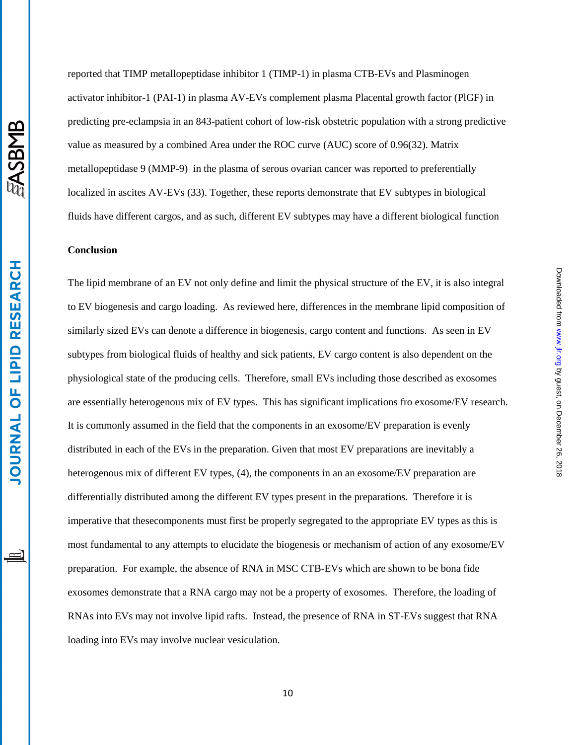reported that TIMP metallopeptidase inhibitor 1 (TIMP-1) in plasma CTB-EVs and Plasminogen activator inhibitor-1 (PAI-1) in plasma AV-EVs complement plasma Placental growth factor (PlGF) in predicting pre-eclampsia in an 843-patient cohort of low-risk obstetric population with a strong predictive value as measured by a combined Area under the ROC curve (AUC) score of 0.96[\(32\)](#page-14-5). Matrix metallopeptidase 9 (MMP-9) in the plasma of serous ovarian cancer was reported to preferentially localized in ascites AV-EVs [\(33\)](#page-14-6). Together, these reports demonstrate that EV subtypes in biological fluids have different cargos, and as such, different EV subtypes may have a different biological function

### **Conclusion**

The lipid membrane of an EV not only define and limit the physical structure of the EV, it is also integral to EV biogenesis and cargo loading. As reviewed here, differences in the membrane lipid composition of similarly sized EVs can denote a difference in biogenesis, cargo content and functions. As seen in EV subtypes from biological fluids of healthy and sick patients, EV cargo content is also dependent on the physiological state of the producing cells. Therefore, small EVs including those described as exosomes are essentially heterogenous mix of EV types. This has significant implications fro exosome/EV research. It is commonly assumed in the field that the components in an exosome/EV preparation is evenly distributed in each of the EVs in the preparation. Given that most EV preparations are inevitably a heterogenous mix of different EV types, [\(4\)](#page-11-3), the components in an an exosome/EV preparation are differentially distributed among the different EV types present in the preparations. Therefore it is imperative that thesecomponents must first be properly segregated to the appropriate EV types as this is most fundamental to any attempts to elucidate the biogenesis or mechanism of action of any exosome/EV preparation. For example, the absence of RNA in MSC CTB-EVs which are shown to be bona fide exosomes demonstrate that a RNA cargo may not be a property of exosomes. Therefore, the loading of RNAs into EVs may not involve lipid rafts. Instead, the presence of RNA in ST-EVs suggest that RNA loading into EVs may involve nuclear vesiculation.

by guest, on December 26, 2018 [www.jlr.org](http://www.jlr.org/) Downloaded from

Downloaded from www.jlr.org by guest, on December 26, 2018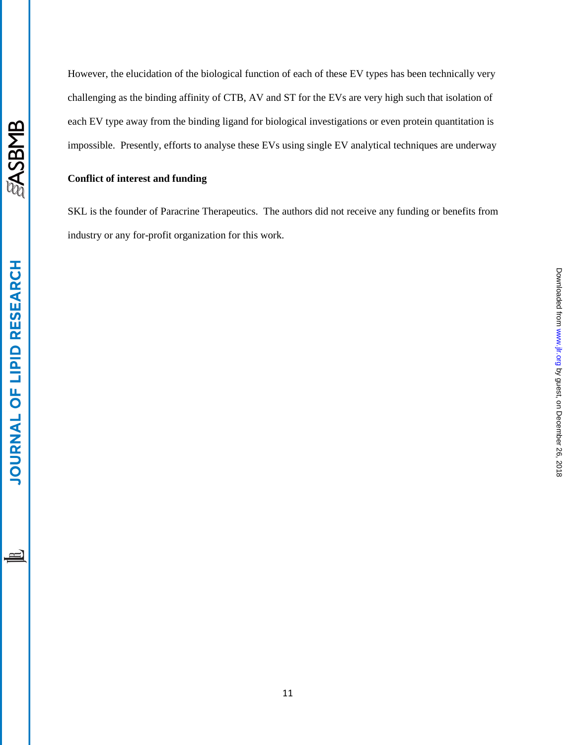**SASBMB** 

**JOURNAL OF LIPID RESEARCH** 

However, the elucidation of the biological function of each of these EV types has been technically very challenging as the binding affinity of CTB, AV and ST for the EVs are very high such that isolation of each EV type away from the binding ligand for biological investigations or even protein quantitation is impossible. Presently, efforts to analyse these EVs using single EV analytical techniques are underway

### **Conflict of interest and funding**

SKL is the founder of Paracrine Therapeutics. The authors did not receive any funding or benefits from industry or any for-profit organization for this work.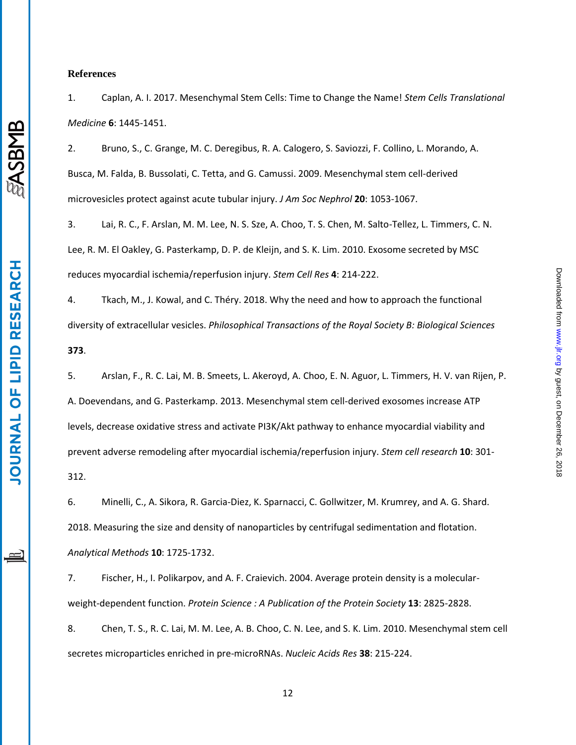### **References**

<span id="page-11-0"></span>1. Caplan, A. I. 2017. Mesenchymal Stem Cells: Time to Change the Name! *Stem Cells Translational Medicine* **6**: 1445-1451.

<span id="page-11-1"></span>2. Bruno, S., C. Grange, M. C. Deregibus, R. A. Calogero, S. Saviozzi, F. Collino, L. Morando, A. Busca, M. Falda, B. Bussolati, C. Tetta, and G. Camussi. 2009. Mesenchymal stem cell-derived microvesicles protect against acute tubular injury. *J Am Soc Nephrol* **20**: 1053-1067.

<span id="page-11-2"></span>3. Lai, R. C., F. Arslan, M. M. Lee, N. S. Sze, A. Choo, T. S. Chen, M. Salto-Tellez, L. Timmers, C. N. Lee, R. M. El Oakley, G. Pasterkamp, D. P. de Kleijn, and S. K. Lim. 2010. Exosome secreted by MSC reduces myocardial ischemia/reperfusion injury. *Stem Cell Res* **4**: 214-222.

<span id="page-11-3"></span>4. Tkach, M., J. Kowal, and C. Théry. 2018. Why the need and how to approach the functional diversity of extracellular vesicles. *Philosophical Transactions of the Royal Society B: Biological Sciences* **373**.

<span id="page-11-4"></span>5. Arslan, F., R. C. Lai, M. B. Smeets, L. Akeroyd, A. Choo, E. N. Aguor, L. Timmers, H. V. van Rijen, P. A. Doevendans, and G. Pasterkamp. 2013. Mesenchymal stem cell-derived exosomes increase ATP levels, decrease oxidative stress and activate PI3K/Akt pathway to enhance myocardial viability and prevent adverse remodeling after myocardial ischemia/reperfusion injury. *Stem cell research* **10**: 301- 312.

<span id="page-11-5"></span>6. Minelli, C., A. Sikora, R. Garcia-Diez, K. Sparnacci, C. Gollwitzer, M. Krumrey, and A. G. Shard. 2018. Measuring the size and density of nanoparticles by centrifugal sedimentation and flotation. *Analytical Methods* **10**: 1725-1732.

<span id="page-11-6"></span>7. Fischer, H., I. Polikarpov, and A. F. Craievich. 2004. Average protein density is a molecularweight-dependent function. *Protein Science : A Publication of the Protein Society* **13**: 2825-2828.

<span id="page-11-7"></span>8. Chen, T. S., R. C. Lai, M. M. Lee, A. B. Choo, C. N. Lee, and S. K. Lim. 2010. Mesenchymal stem cell secretes microparticles enriched in pre-microRNAs. *Nucleic Acids Res* **38**: 215-224.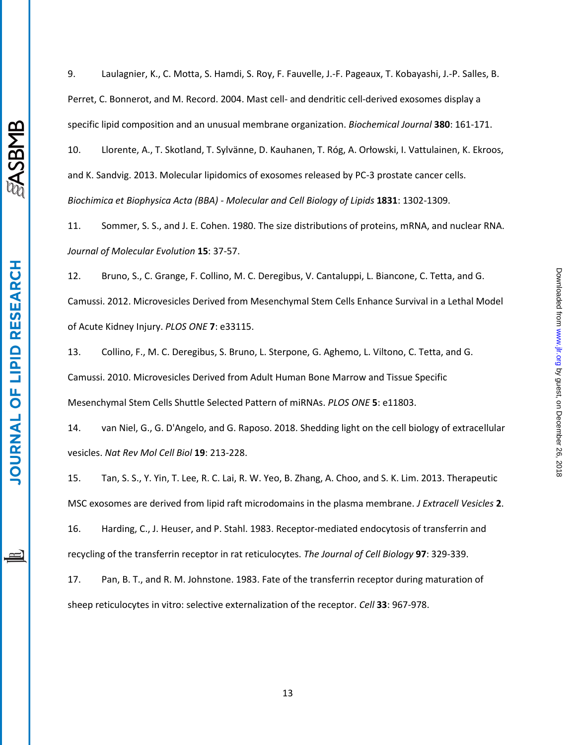**LIPID RESEARCH** 

**JOURNAL OF** 

<span id="page-12-0"></span>9. Laulagnier, K., C. Motta, S. Hamdi, S. Roy, F. Fauvelle, J.-F. Pageaux, T. Kobayashi, J.-P. Salles, B. Perret, C. Bonnerot, and M. Record. 2004. Mast cell- and dendritic cell-derived exosomes display a specific lipid composition and an unusual membrane organization. *Biochemical Journal* **380**: 161-171.

<span id="page-12-1"></span>10. Llorente, A., T. Skotland, T. Sylvänne, D. Kauhanen, T. Róg, A. Orłowski, I. Vattulainen, K. Ekroos, and K. Sandvig. 2013. Molecular lipidomics of exosomes released by PC-3 prostate cancer cells. *Biochimica et Biophysica Acta (BBA) - Molecular and Cell Biology of Lipids* **1831**: 1302-1309.

<span id="page-12-2"></span>11. Sommer, S. S., and J. E. Cohen. 1980. The size distributions of proteins, mRNA, and nuclear RNA. *Journal of Molecular Evolution* **15**: 37-57.

<span id="page-12-3"></span>12. Bruno, S., C. Grange, F. Collino, M. C. Deregibus, V. Cantaluppi, L. Biancone, C. Tetta, and G. Camussi. 2012. Microvesicles Derived from Mesenchymal Stem Cells Enhance Survival in a Lethal Model of Acute Kidney Injury. *PLOS ONE* **7**: e33115.

<span id="page-12-4"></span>13. Collino, F., M. C. Deregibus, S. Bruno, L. Sterpone, G. Aghemo, L. Viltono, C. Tetta, and G. Camussi. 2010. Microvesicles Derived from Adult Human Bone Marrow and Tissue Specific Mesenchymal Stem Cells Shuttle Selected Pattern of miRNAs. *PLOS ONE* **5**: e11803.

<span id="page-12-5"></span>14. van Niel, G., G. D'Angelo, and G. Raposo. 2018. Shedding light on the cell biology of extracellular vesicles. *Nat Rev Mol Cell Biol* **19**: 213-228.

<span id="page-12-6"></span>15. Tan, S. S., Y. Yin, T. Lee, R. C. Lai, R. W. Yeo, B. Zhang, A. Choo, and S. K. Lim. 2013. Therapeutic MSC exosomes are derived from lipid raft microdomains in the plasma membrane. *J Extracell Vesicles* **2**.

<span id="page-12-7"></span>16. Harding, C., J. Heuser, and P. Stahl. 1983. Receptor-mediated endocytosis of transferrin and recycling of the transferrin receptor in rat reticulocytes. *The Journal of Cell Biology* **97**: 329-339.

<span id="page-12-8"></span>17. Pan, B. T., and R. M. Johnstone. 1983. Fate of the transferrin receptor during maturation of sheep reticulocytes in vitro: selective externalization of the receptor. *Cell* **33**: 967-978.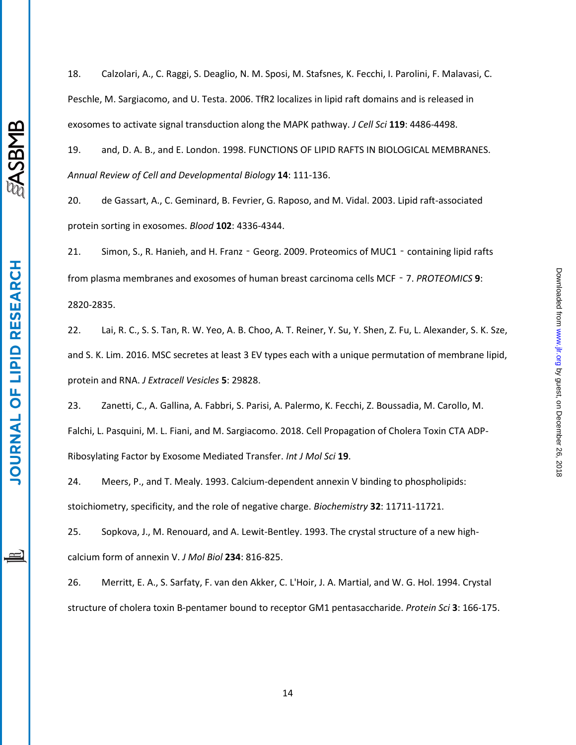<span id="page-13-0"></span>18. Calzolari, A., C. Raggi, S. Deaglio, N. M. Sposi, M. Stafsnes, K. Fecchi, I. Parolini, F. Malavasi, C. Peschle, M. Sargiacomo, and U. Testa. 2006. TfR2 localizes in lipid raft domains and is released in exosomes to activate signal transduction along the MAPK pathway. *J Cell Sci* **119**: 4486-4498.

<span id="page-13-1"></span>19. and, D. A. B., and E. London. 1998. FUNCTIONS OF LIPID RAFTS IN BIOLOGICAL MEMBRANES. *Annual Review of Cell and Developmental Biology* **14**: 111-136.

<span id="page-13-2"></span>20. de Gassart, A., C. Geminard, B. Fevrier, G. Raposo, and M. Vidal. 2003. Lipid raft-associated protein sorting in exosomes. *Blood* **102**: 4336-4344.

<span id="page-13-3"></span>21. Simon, S., R. Hanieh, and H. Franz - Georg. 2009. Proteomics of MUC1 - containing lipid rafts from plasma membranes and exosomes of human breast carcinoma cells MCF‐7. *PROTEOMICS* **9**: 2820-2835.

<span id="page-13-4"></span>22. Lai, R. C., S. S. Tan, R. W. Yeo, A. B. Choo, A. T. Reiner, Y. Su, Y. Shen, Z. Fu, L. Alexander, S. K. Sze, and S. K. Lim. 2016. MSC secretes at least 3 EV types each with a unique permutation of membrane lipid, protein and RNA. *J Extracell Vesicles* **5**: 29828.

<span id="page-13-5"></span>23. Zanetti, C., A. Gallina, A. Fabbri, S. Parisi, A. Palermo, K. Fecchi, Z. Boussadia, M. Carollo, M. Falchi, L. Pasquini, M. L. Fiani, and M. Sargiacomo. 2018. Cell Propagation of Cholera Toxin CTA ADP-Ribosylating Factor by Exosome Mediated Transfer. *Int J Mol Sci* **19**.

<span id="page-13-6"></span>24. Meers, P., and T. Mealy. 1993. Calcium-dependent annexin V binding to phospholipids: stoichiometry, specificity, and the role of negative charge. *Biochemistry* **32**: 11711-11721.

<span id="page-13-7"></span>25. Sopkova, J., M. Renouard, and A. Lewit-Bentley. 1993. The crystal structure of a new highcalcium form of annexin V. *J Mol Biol* **234**: 816-825.

<span id="page-13-8"></span>26. Merritt, E. A., S. Sarfaty, F. van den Akker, C. L'Hoir, J. A. Martial, and W. G. Hol. 1994. Crystal structure of cholera toxin B-pentamer bound to receptor GM1 pentasaccharide. *Protein Sci* **3**: 166-175.